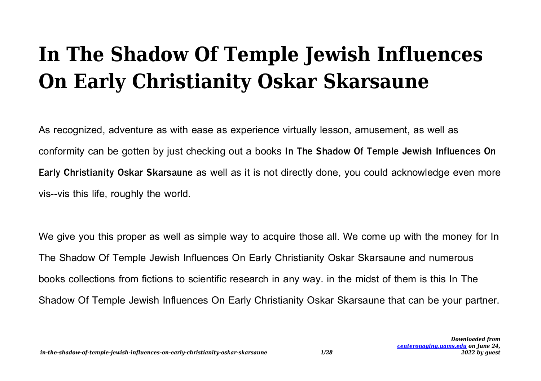## **In The Shadow Of Temple Jewish Influences On Early Christianity Oskar Skarsaune**

As recognized, adventure as with ease as experience virtually lesson, amusement, as well as conformity can be gotten by just checking out a books **In The Shadow Of Temple Jewish Influences On Early Christianity Oskar Skarsaune** as well as it is not directly done, you could acknowledge even more vis--vis this life, roughly the world.

We give you this proper as well as simple way to acquire those all. We come up with the money for In The Shadow Of Temple Jewish Influences On Early Christianity Oskar Skarsaune and numerous books collections from fictions to scientific research in any way. in the midst of them is this In The Shadow Of Temple Jewish Influences On Early Christianity Oskar Skarsaune that can be your partner.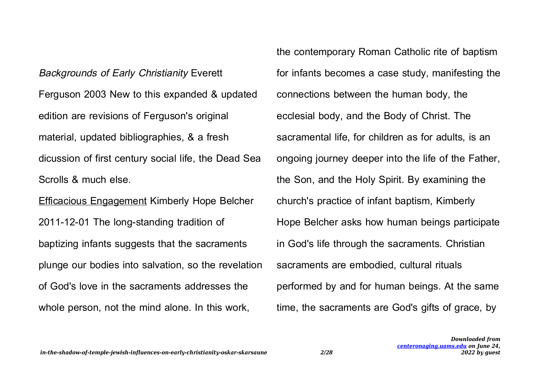Backgrounds of Early Christianity Everett Ferguson 2003 New to this expanded & updated edition are revisions of Ferguson's original material, updated bibliographies, & a fresh dicussion of first century social life, the Dead Sea Scrolls & much else.

Efficacious Engagement Kimberly Hope Belcher 2011-12-01 The long-standing tradition of baptizing infants suggests that the sacraments plunge our bodies into salvation, so the revelation of God's love in the sacraments addresses the whole person, not the mind alone. In this work,

the contemporary Roman Catholic rite of baptism for infants becomes a case study, manifesting the connections between the human body, the ecclesial body, and the Body of Christ. The sacramental life, for children as for adults, is an ongoing journey deeper into the life of the Father, the Son, and the Holy Spirit. By examining the church's practice of infant baptism, Kimberly Hope Belcher asks how human beings participate in God's life through the sacraments. Christian sacraments are embodied, cultural rituals performed by and for human beings. At the same time, the sacraments are God's gifts of grace, by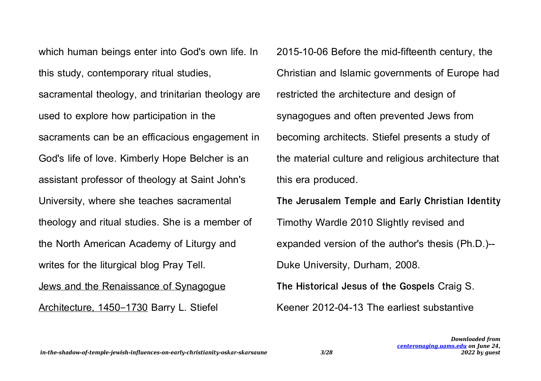which human beings enter into God's own life. In this study, contemporary ritual studies, sacramental theology, and trinitarian theology are used to explore how participation in the sacraments can be an efficacious engagement in God's life of love. Kimberly Hope Belcher is an assistant professor of theology at Saint John's University, where she teaches sacramental theology and ritual studies. She is a member of the North American Academy of Liturgy and writes for the liturgical blog Pray Tell. Jews and the Renaissance of Synagogue Architecture, 1450–1730 Barry L. Stiefel

2015-10-06 Before the mid-fifteenth century, the Christian and Islamic governments of Europe had restricted the architecture and design of synagogues and often prevented Jews from becoming architects. Stiefel presents a study of the material culture and religious architecture that this era produced.

**The Jerusalem Temple and Early Christian Identity** Timothy Wardle 2010 Slightly revised and expanded version of the author's thesis (Ph.D.)-- Duke University, Durham, 2008. **The Historical Jesus of the Gospels** Craig S. Keener 2012-04-13 The earliest substantive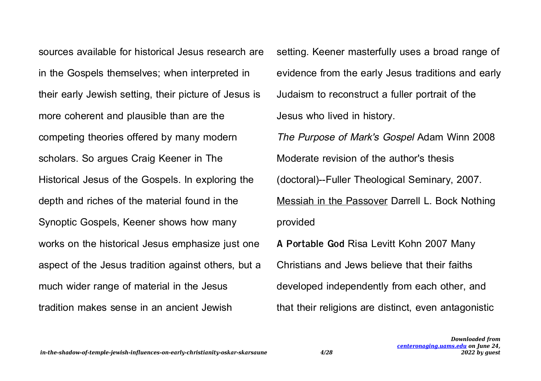sources available for historical Jesus research are in the Gospels themselves; when interpreted in their early Jewish setting, their picture of Jesus is more coherent and plausible than are the competing theories offered by many modern scholars. So argues Craig Keener in The Historical Jesus of the Gospels. In exploring the depth and riches of the material found in the Synoptic Gospels, Keener shows how many works on the historical Jesus emphasize just one aspect of the Jesus tradition against others, but a much wider range of material in the Jesus tradition makes sense in an ancient Jewish

setting. Keener masterfully uses a broad range of evidence from the early Jesus traditions and early Judaism to reconstruct a fuller portrait of the Jesus who lived in history. The Purpose of Mark's Gospel Adam Winn 2008

Moderate revision of the author's thesis (doctoral)--Fuller Theological Seminary, 2007. Messiah in the Passover Darrell L. Bock Nothing provided

**A Portable God** Risa Levitt Kohn 2007 Many Christians and Jews believe that their faiths developed independently from each other, and that their religions are distinct, even antagonistic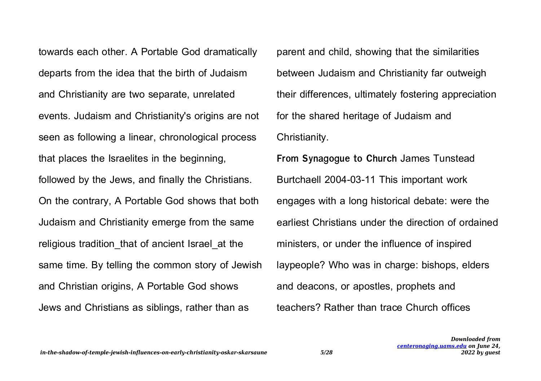towards each other. A Portable God dramatically departs from the idea that the birth of Judaism and Christianity are two separate, unrelated events. Judaism and Christianity's origins are not seen as following a linear, chronological process that places the Israelites in the beginning, followed by the Jews, and finally the Christians. On the contrary, A Portable God shows that both Judaism and Christianity emerge from the same religious tradition\_that of ancient Israel\_at the same time. By telling the common story of Jewish and Christian origins, A Portable God shows Jews and Christians as siblings, rather than as

parent and child, showing that the similarities between Judaism and Christianity far outweigh their differences, ultimately fostering appreciation for the shared heritage of Judaism and Christianity.

**From Synagogue to Church** James Tunstead Burtchaell 2004-03-11 This important work engages with a long historical debate: were the earliest Christians under the direction of ordained ministers, or under the influence of inspired laypeople? Who was in charge: bishops, elders and deacons, or apostles, prophets and teachers? Rather than trace Church offices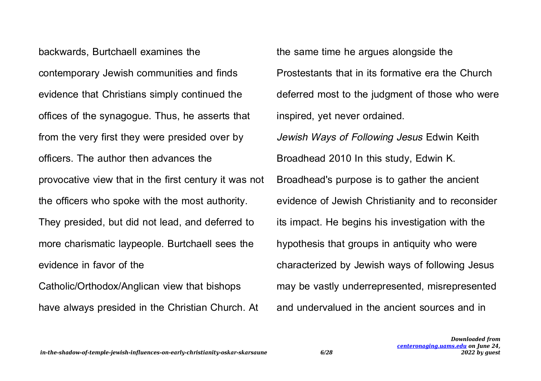backwards, Burtchaell examines the contemporary Jewish communities and finds evidence that Christians simply continued the offices of the synagogue. Thus, he asserts that from the very first they were presided over by officers. The author then advances the provocative view that in the first century it was not the officers who spoke with the most authority. They presided, but did not lead, and deferred to more charismatic laypeople. Burtchaell sees the evidence in favor of the Catholic/Orthodox/Anglican view that bishops have always presided in the Christian Church. At

the same time he argues alongside the Prostestants that in its formative era the Church deferred most to the judgment of those who were inspired, yet never ordained. Jewish Ways of Following Jesus Edwin Keith Broadhead 2010 In this study, Edwin K. Broadhead's purpose is to gather the ancient evidence of Jewish Christianity and to reconsider its impact. He begins his investigation with the hypothesis that groups in antiquity who were characterized by Jewish ways of following Jesus may be vastly underrepresented, misrepresented and undervalued in the ancient sources and in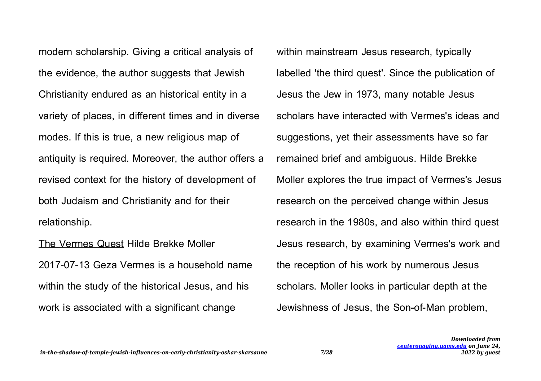modern scholarship. Giving a critical analysis of the evidence, the author suggests that Jewish Christianity endured as an historical entity in a variety of places, in different times and in diverse modes. If this is true, a new religious map of antiquity is required. Moreover, the author offers a revised context for the history of development of both Judaism and Christianity and for their relationship.

The Vermes Quest Hilde Brekke Moller 2017-07-13 Geza Vermes is a household name within the study of the historical Jesus, and his work is associated with a significant change

within mainstream Jesus research, typically labelled 'the third quest'. Since the publication of Jesus the Jew in 1973, many notable Jesus scholars have interacted with Vermes's ideas and suggestions, yet their assessments have so far remained brief and ambiguous. Hilde Brekke Moller explores the true impact of Vermes's Jesus research on the perceived change within Jesus research in the 1980s, and also within third quest Jesus research, by examining Vermes's work and the reception of his work by numerous Jesus scholars. Moller looks in particular depth at the Jewishness of Jesus, the Son-of-Man problem,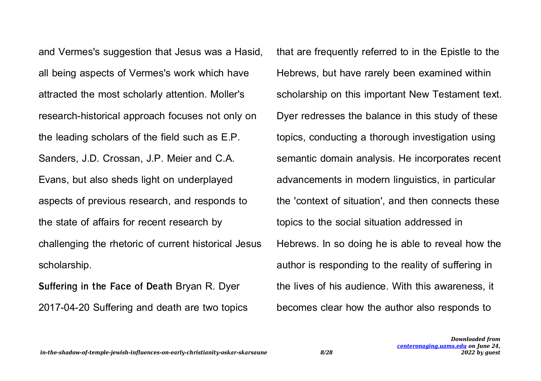and Vermes's suggestion that Jesus was a Hasid, all being aspects of Vermes's work which have attracted the most scholarly attention. Moller's research-historical approach focuses not only on the leading scholars of the field such as E.P. Sanders, J.D. Crossan, J.P. Meier and C.A. Evans, but also sheds light on underplayed aspects of previous research, and responds to the state of affairs for recent research by challenging the rhetoric of current historical Jesus scholarship.

**Suffering in the Face of Death** Bryan R. Dyer 2017-04-20 Suffering and death are two topics that are frequently referred to in the Epistle to the Hebrews, but have rarely been examined within scholarship on this important New Testament text. Dyer redresses the balance in this study of these topics, conducting a thorough investigation using semantic domain analysis. He incorporates recent advancements in modern linguistics, in particular the 'context of situation', and then connects these topics to the social situation addressed in Hebrews. In so doing he is able to reveal how the author is responding to the reality of suffering in the lives of his audience. With this awareness, it becomes clear how the author also responds to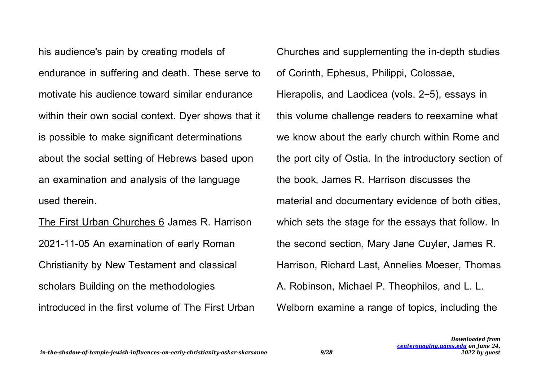his audience's pain by creating models of endurance in suffering and death. These serve to motivate his audience toward similar endurance within their own social context. Dyer shows that it is possible to make significant determinations about the social setting of Hebrews based upon an examination and analysis of the language used therein.

The First Urban Churches 6 James R. Harrison 2021-11-05 An examination of early Roman Christianity by New Testament and classical scholars Building on the methodologies introduced in the first volume of The First Urban Churches and supplementing the in-depth studies of Corinth, Ephesus, Philippi, Colossae, Hierapolis, and Laodicea (vols. 2–5), essays in this volume challenge readers to reexamine what we know about the early church within Rome and the port city of Ostia. In the introductory section of the book, James R. Harrison discusses the material and documentary evidence of both cities, which sets the stage for the essays that follow. In the second section, Mary Jane Cuyler, James R. Harrison, Richard Last, Annelies Moeser, Thomas A. Robinson, Michael P. Theophilos, and L. L. Welborn examine a range of topics, including the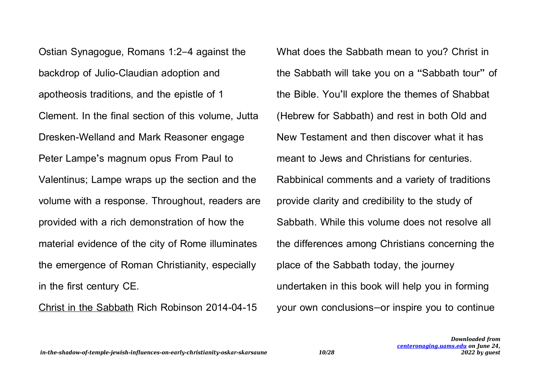Ostian Synagogue, Romans 1:2–4 against the backdrop of Julio-Claudian adoption and apotheosis traditions, and the epistle of 1 Clement. In the final section of this volume, Jutta Dresken-Welland and Mark Reasoner engage Peter Lampe's magnum opus From Paul to Valentinus; Lampe wraps up the section and the volume with a response. Throughout, readers are provided with a rich demonstration of how the material evidence of the city of Rome illuminates the emergence of Roman Christianity, especially in the first century CE.

Christ in the Sabbath Rich Robinson 2014-04-15

What does the Sabbath mean to you? Christ in the Sabbath will take you on a "Sabbath tour" of the Bible. You'll explore the themes of Shabbat (Hebrew for Sabbath) and rest in both Old and New Testament and then discover what it has meant to Jews and Christians for centuries. Rabbinical comments and a variety of traditions provide clarity and credibility to the study of Sabbath. While this volume does not resolve all the differences among Christians concerning the place of the Sabbath today, the journey undertaken in this book will help you in forming your own conclusions—or inspire you to continue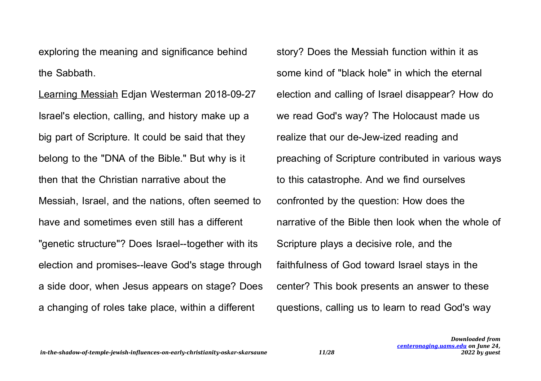exploring the meaning and significance behind the Sabbath.

Learning Messiah Edjan Westerman 2018-09-27 Israel's election, calling, and history make up a big part of Scripture. It could be said that they belong to the "DNA of the Bible." But why is it then that the Christian narrative about the Messiah, Israel, and the nations, often seemed to have and sometimes even still has a different "genetic structure"? Does Israel--together with its election and promises--leave God's stage through a side door, when Jesus appears on stage? Does a changing of roles take place, within a different

story? Does the Messiah function within it as some kind of "black hole" in which the eternal election and calling of Israel disappear? How do we read God's way? The Holocaust made us realize that our de-Jew-ized reading and preaching of Scripture contributed in various ways to this catastrophe. And we find ourselves confronted by the question: How does the narrative of the Bible then look when the whole of Scripture plays a decisive role, and the faithfulness of God toward Israel stays in the center? This book presents an answer to these questions, calling us to learn to read God's way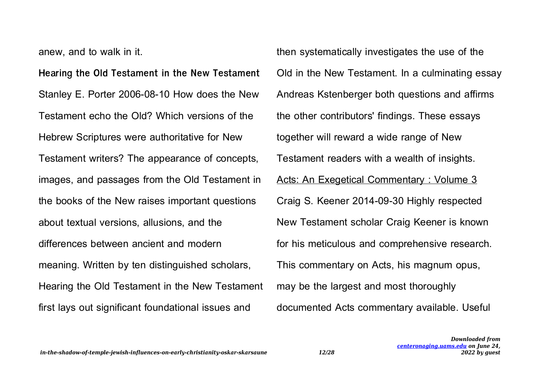anew, and to walk in it.

**Hearing the Old Testament in the New Testament** Stanley E. Porter 2006-08-10 How does the New Testament echo the Old? Which versions of the Hebrew Scriptures were authoritative for New Testament writers? The appearance of concepts, images, and passages from the Old Testament in the books of the New raises important questions about textual versions, allusions, and the differences between ancient and modern meaning. Written by ten distinguished scholars, Hearing the Old Testament in the New Testament first lays out significant foundational issues and

then systematically investigates the use of the Old in the New Testament. In a culminating essay Andreas Kstenberger both questions and affirms the other contributors' findings. These essays together will reward a wide range of New Testament readers with a wealth of insights. Acts: An Exegetical Commentary : Volume 3 Craig S. Keener 2014-09-30 Highly respected New Testament scholar Craig Keener is known for his meticulous and comprehensive research. This commentary on Acts, his magnum opus, may be the largest and most thoroughly documented Acts commentary available. Useful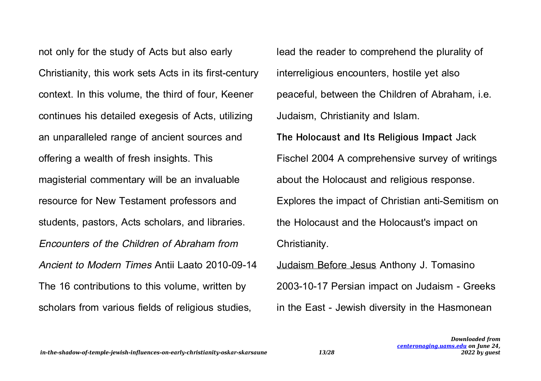not only for the study of Acts but also early Christianity, this work sets Acts in its first-century context. In this volume, the third of four, Keener continues his detailed exegesis of Acts, utilizing an unparalleled range of ancient sources and offering a wealth of fresh insights. This magisterial commentary will be an invaluable resource for New Testament professors and students, pastors, Acts scholars, and libraries. Encounters of the Children of Abraham from Ancient to Modern Times Antii Laato 2010-09-14 The 16 contributions to this volume, written by scholars from various fields of religious studies,

lead the reader to comprehend the plurality of interreligious encounters, hostile yet also peaceful, between the Children of Abraham, i.e. Judaism, Christianity and Islam. **The Holocaust and Its Religious Impact** Jack Fischel 2004 A comprehensive survey of writings about the Holocaust and religious response. Explores the impact of Christian anti-Semitism on the Holocaust and the Holocaust's impact on Christianity. Judaism Before Jesus Anthony J. Tomasino

2003-10-17 Persian impact on Judaism - Greeks in the East - Jewish diversity in the Hasmonean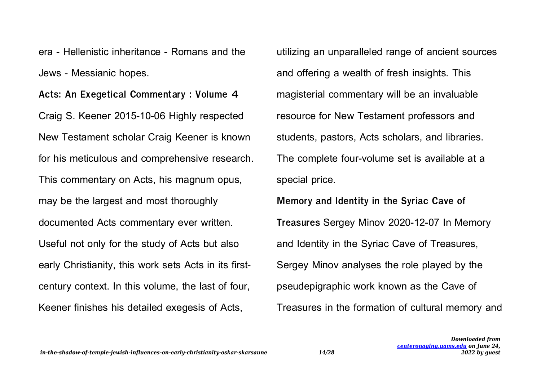era - Hellenistic inheritance - Romans and the Jews - Messianic hopes.

**Acts: An Exegetical Commentary : Volume 4** Craig S. Keener 2015-10-06 Highly respected New Testament scholar Craig Keener is known for his meticulous and comprehensive research. This commentary on Acts, his magnum opus, may be the largest and most thoroughly documented Acts commentary ever written. Useful not only for the study of Acts but also early Christianity, this work sets Acts in its firstcentury context. In this volume, the last of four, Keener finishes his detailed exegesis of Acts,

utilizing an unparalleled range of ancient sources and offering a wealth of fresh insights. This magisterial commentary will be an invaluable resource for New Testament professors and students, pastors, Acts scholars, and libraries. The complete four-volume set is available at a special price.

**Memory and Identity in the Syriac Cave of Treasures** Sergey Minov 2020-12-07 In Memory and Identity in the Syriac Cave of Treasures, Sergey Minov analyses the role played by the pseudepigraphic work known as the Cave of Treasures in the formation of cultural memory and

*Downloaded from*

*2022 by guest*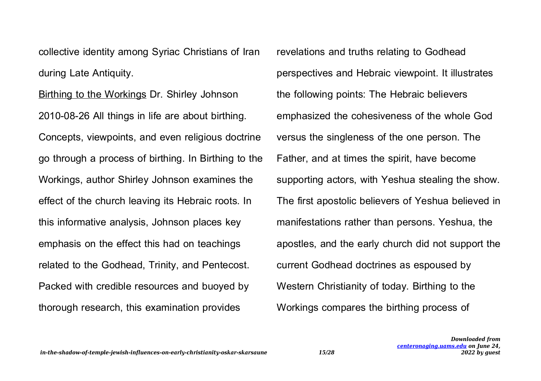collective identity among Syriac Christians of Iran during Late Antiquity.

Birthing to the Workings Dr. Shirley Johnson 2010-08-26 All things in life are about birthing. Concepts, viewpoints, and even religious doctrine go through a process of birthing. In Birthing to the Workings, author Shirley Johnson examines the effect of the church leaving its Hebraic roots. In this informative analysis, Johnson places key emphasis on the effect this had on teachings related to the Godhead, Trinity, and Pentecost. Packed with credible resources and buoyed by thorough research, this examination provides

revelations and truths relating to Godhead perspectives and Hebraic viewpoint. It illustrates the following points: The Hebraic believers emphasized the cohesiveness of the whole God versus the singleness of the one person. The Father, and at times the spirit, have become supporting actors, with Yeshua stealing the show. The first apostolic believers of Yeshua believed in manifestations rather than persons. Yeshua, the apostles, and the early church did not support the current Godhead doctrines as espoused by Western Christianity of today. Birthing to the Workings compares the birthing process of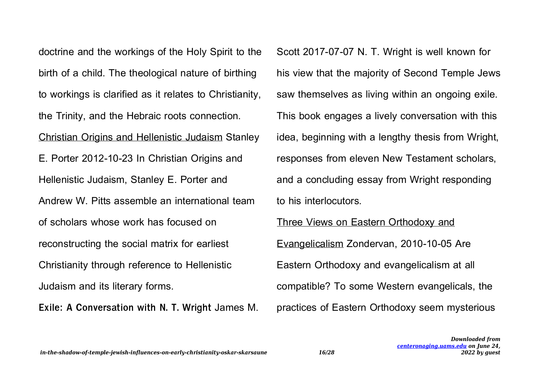doctrine and the workings of the Holy Spirit to the birth of a child. The theological nature of birthing to workings is clarified as it relates to Christianity, the Trinity, and the Hebraic roots connection. Christian Origins and Hellenistic Judaism Stanley E. Porter 2012-10-23 In Christian Origins and Hellenistic Judaism, Stanley E. Porter and Andrew W. Pitts assemble an international team of scholars whose work has focused on reconstructing the social matrix for earliest Christianity through reference to Hellenistic Judaism and its literary forms.

**Exile: A Conversation with N. T. Wright** James M.

Scott 2017-07-07 N. T. Wright is well known for his view that the majority of Second Temple Jews saw themselves as living within an ongoing exile. This book engages a lively conversation with this idea, beginning with a lengthy thesis from Wright, responses from eleven New Testament scholars, and a concluding essay from Wright responding to his interlocutors.

Three Views on Eastern Orthodoxy and Evangelicalism Zondervan, 2010-10-05 Are Eastern Orthodoxy and evangelicalism at all compatible? To some Western evangelicals, the practices of Eastern Orthodoxy seem mysterious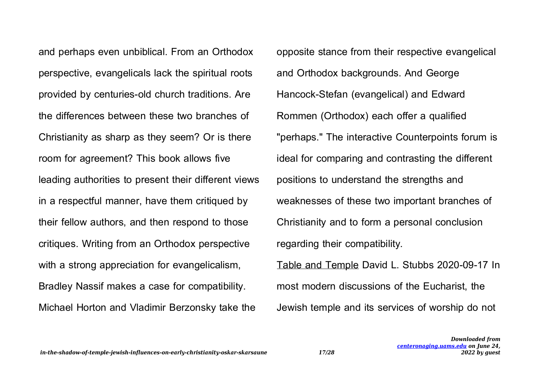and perhaps even unbiblical. From an Orthodox perspective, evangelicals lack the spiritual roots provided by centuries-old church traditions. Are the differences between these two branches of Christianity as sharp as they seem? Or is there room for agreement? This book allows five leading authorities to present their different views in a respectful manner, have them critiqued by their fellow authors, and then respond to those critiques. Writing from an Orthodox perspective with a strong appreciation for evangelicalism, Bradley Nassif makes a case for compatibility. Michael Horton and Vladimir Berzonsky take the

opposite stance from their respective evangelical and Orthodox backgrounds. And George Hancock-Stefan (evangelical) and Edward Rommen (Orthodox) each offer a qualified "perhaps." The interactive Counterpoints forum is ideal for comparing and contrasting the different positions to understand the strengths and weaknesses of these two important branches of Christianity and to form a personal conclusion regarding their compatibility. Table and Temple David L. Stubbs 2020-09-17 In most modern discussions of the Eucharist, the Jewish temple and its services of worship do not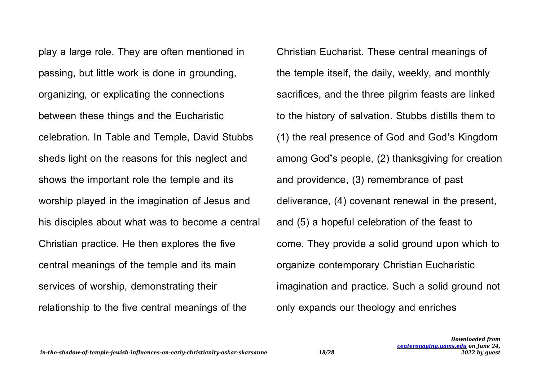play a large role. They are often mentioned in passing, but little work is done in grounding, organizing, or explicating the connections between these things and the Eucharistic celebration. In Table and Temple, David Stubbs sheds light on the reasons for this neglect and shows the important role the temple and its worship played in the imagination of Jesus and his disciples about what was to become a central Christian practice. He then explores the five central meanings of the temple and its main services of worship, demonstrating their relationship to the five central meanings of the

Christian Eucharist. These central meanings of the temple itself, the daily, weekly, and monthly sacrifices, and the three pilgrim feasts are linked to the history of salvation. Stubbs distills them to (1) the real presence of God and God's Kingdom among God's people, (2) thanksgiving for creation and providence, (3) remembrance of past deliverance, (4) covenant renewal in the present, and (5) a hopeful celebration of the feast to come. They provide a solid ground upon which to organize contemporary Christian Eucharistic imagination and practice. Such a solid ground not only expands our theology and enriches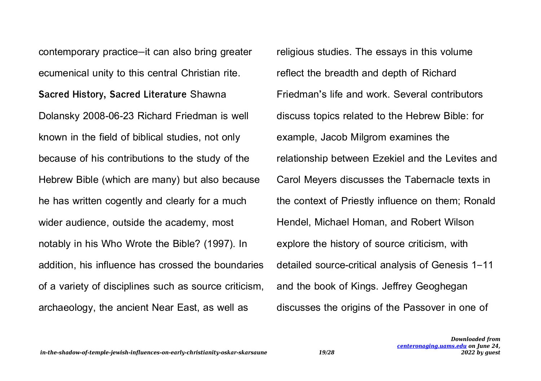contemporary practice—it can also bring greater ecumenical unity to this central Christian rite. **Sacred History, Sacred Literature** Shawna Dolansky 2008-06-23 Richard Friedman is well known in the field of biblical studies, not only because of his contributions to the study of the Hebrew Bible (which are many) but also because he has written cogently and clearly for a much wider audience, outside the academy, most notably in his Who Wrote the Bible? (1997). In addition, his influence has crossed the boundaries of a variety of disciplines such as source criticism, archaeology, the ancient Near East, as well as

religious studies. The essays in this volume reflect the breadth and depth of Richard Friedman's life and work. Several contributors discuss topics related to the Hebrew Bible: for example, Jacob Milgrom examines the relationship between Ezekiel and the Levites and Carol Meyers discusses the Tabernacle texts in the context of Priestly influence on them; Ronald Hendel, Michael Homan, and Robert Wilson explore the history of source criticism, with detailed source-critical analysis of Genesis 1–11 and the book of Kings. Jeffrey Geoghegan discusses the origins of the Passover in one of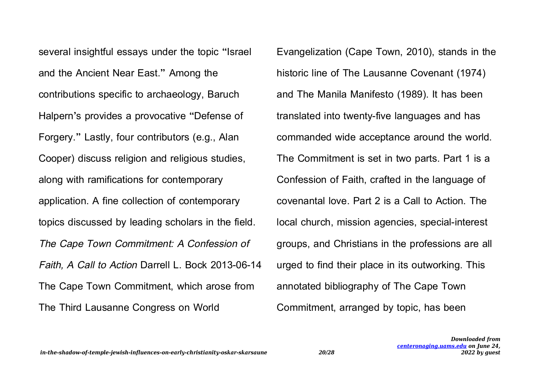several insightful essays under the topic "Israel and the Ancient Near East." Among the contributions specific to archaeology, Baruch Halpern's provides a provocative "Defense of Forgery." Lastly, four contributors (e.g., Alan Cooper) discuss religion and religious studies, along with ramifications for contemporary application. A fine collection of contemporary topics discussed by leading scholars in the field. The Cape Town Commitment: A Confession of Faith, A Call to Action Darrell L. Bock 2013-06-14 The Cape Town Commitment, which arose from The Third Lausanne Congress on World

Evangelization (Cape Town, 2010), stands in the historic line of The Lausanne Covenant (1974) and The Manila Manifesto (1989). It has been translated into twenty-five languages and has commanded wide acceptance around the world. The Commitment is set in two parts. Part 1 is a Confession of Faith, crafted in the language of covenantal love. Part 2 is a Call to Action. The local church, mission agencies, special-interest groups, and Christians in the professions are all urged to find their place in its outworking. This annotated bibliography of The Cape Town Commitment, arranged by topic, has been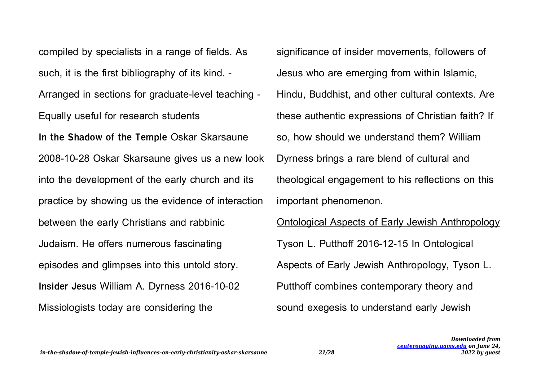compiled by specialists in a range of fields. As such, it is the first bibliography of its kind. - Arranged in sections for graduate-level teaching - Equally useful for research students **In the Shadow of the Temple** Oskar Skarsaune 2008-10-28 Oskar Skarsaune gives us a new look into the development of the early church and its practice by showing us the evidence of interaction between the early Christians and rabbinic Judaism. He offers numerous fascinating episodes and glimpses into this untold story. **Insider Jesus** William A. Dyrness 2016-10-02 Missiologists today are considering the

significance of insider movements, followers of Jesus who are emerging from within Islamic, Hindu, Buddhist, and other cultural contexts. Are these authentic expressions of Christian faith? If so, how should we understand them? William Dyrness brings a rare blend of cultural and theological engagement to his reflections on this important phenomenon. Ontological Aspects of Early Jewish Anthropology Tyson L. Putthoff 2016-12-15 In Ontological Aspects of Early Jewish Anthropology, Tyson L.

Putthoff combines contemporary theory and sound exegesis to understand early Jewish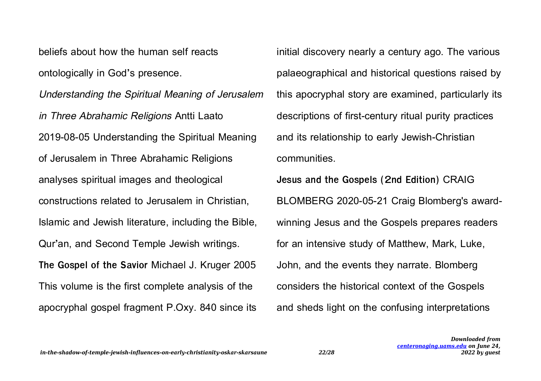beliefs about how the human self reacts ontologically in God's presence.

Understanding the Spiritual Meaning of Jerusalem in Three Abrahamic Religions Antti Laato 2019-08-05 Understanding the Spiritual Meaning of Jerusalem in Three Abrahamic Religions analyses spiritual images and theological constructions related to Jerusalem in Christian, Islamic and Jewish literature, including the Bible, Qur'an, and Second Temple Jewish writings. **The Gospel of the Savior** Michael J. Kruger 2005 This volume is the first complete analysis of the apocryphal gospel fragment P.Oxy. 840 since its

initial discovery nearly a century ago. The various palaeographical and historical questions raised by this apocryphal story are examined, particularly its descriptions of first-century ritual purity practices and its relationship to early Jewish-Christian communities.

**Jesus and the Gospels (2nd Edition)** CRAIG BLOMBERG 2020-05-21 Craig Blomberg's awardwinning Jesus and the Gospels prepares readers for an intensive study of Matthew, Mark, Luke, John, and the events they narrate. Blomberg considers the historical context of the Gospels and sheds light on the confusing interpretations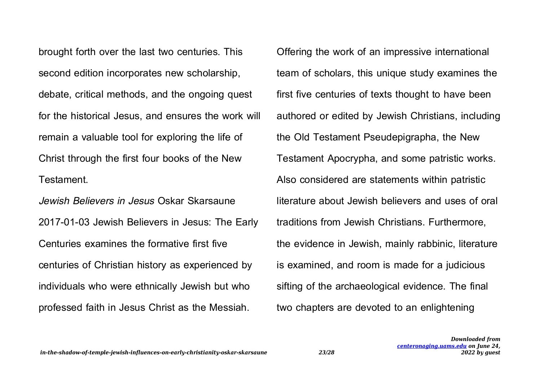brought forth over the last two centuries. This second edition incorporates new scholarship, debate, critical methods, and the ongoing quest for the historical Jesus, and ensures the work will remain a valuable tool for exploring the life of Christ through the first four books of the New **Testament** 

Jewish Believers in Jesus Oskar Skarsaune 2017-01-03 Jewish Believers in Jesus: The Early Centuries examines the formative first five centuries of Christian history as experienced by individuals who were ethnically Jewish but who professed faith in Jesus Christ as the Messiah.

Offering the work of an impressive international team of scholars, this unique study examines the first five centuries of texts thought to have been authored or edited by Jewish Christians, including the Old Testament Pseudepigrapha, the New Testament Apocrypha, and some patristic works. Also considered are statements within patristic literature about Jewish believers and uses of oral traditions from Jewish Christians. Furthermore, the evidence in Jewish, mainly rabbinic, literature is examined, and room is made for a judicious sifting of the archaeological evidence. The final two chapters are devoted to an enlightening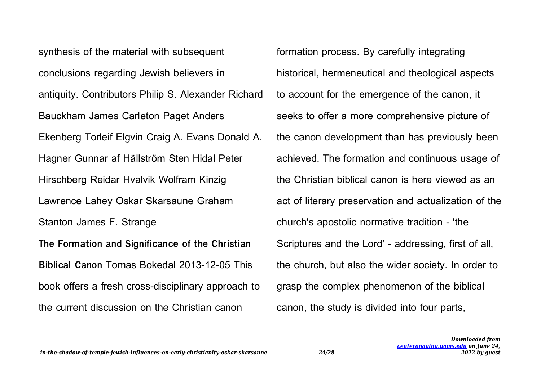synthesis of the material with subsequent conclusions regarding Jewish believers in antiquity. Contributors Philip S. Alexander Richard Bauckham James Carleton Paget Anders Ekenberg Torleif Elgvin Craig A. Evans Donald A. Hagner Gunnar af Hällström Sten Hidal Peter Hirschberg Reidar Hvalvik Wolfram Kinzig Lawrence Lahey Oskar Skarsaune Graham Stanton James F. Strange **The Formation and Significance of the Christian Biblical Canon** Tomas Bokedal 2013-12-05 This book offers a fresh cross-disciplinary approach to the current discussion on the Christian canon

formation process. By carefully integrating historical, hermeneutical and theological aspects to account for the emergence of the canon, it seeks to offer a more comprehensive picture of the canon development than has previously been achieved. The formation and continuous usage of the Christian biblical canon is here viewed as an act of literary preservation and actualization of the church's apostolic normative tradition - 'the Scriptures and the Lord' - addressing, first of all, the church, but also the wider society. In order to grasp the complex phenomenon of the biblical canon, the study is divided into four parts,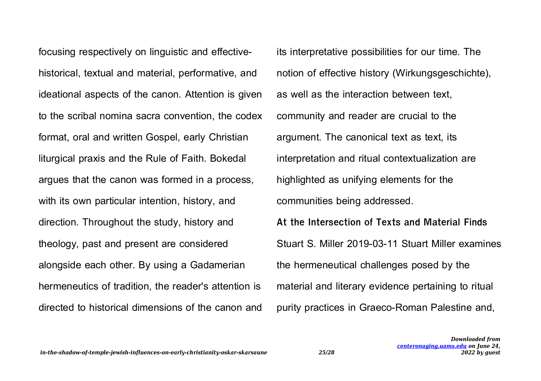focusing respectively on linguistic and effectivehistorical, textual and material, performative, and ideational aspects of the canon. Attention is given to the scribal nomina sacra convention, the codex format, oral and written Gospel, early Christian liturgical praxis and the Rule of Faith. Bokedal argues that the canon was formed in a process, with its own particular intention, history, and direction. Throughout the study, history and theology, past and present are considered alongside each other. By using a Gadamerian hermeneutics of tradition, the reader's attention is directed to historical dimensions of the canon and

its interpretative possibilities for our time. The notion of effective history (Wirkungsgeschichte), as well as the interaction between text, community and reader are crucial to the argument. The canonical text as text, its interpretation and ritual contextualization are highlighted as unifying elements for the communities being addressed. **At the Intersection of Texts and Material Finds** Stuart S. Miller 2019-03-11 Stuart Miller examines the hermeneutical challenges posed by the material and literary evidence pertaining to ritual purity practices in Graeco-Roman Palestine and,

*Downloaded from*

*2022 by guest*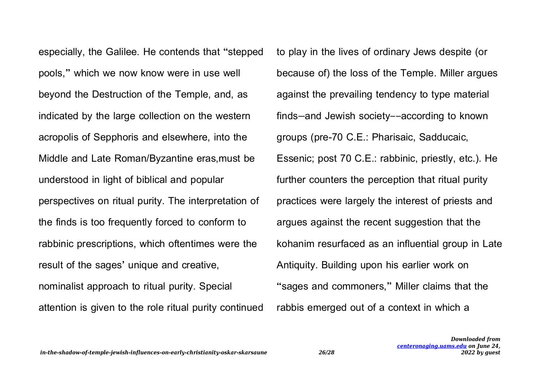especially, the Galilee. He contends that "stepped pools," which we now know were in use well beyond the Destruction of the Temple, and, as indicated by the large collection on the western acropolis of Sepphoris and elsewhere, into the Middle and Late Roman/Byzantine eras,must be understood in light of biblical and popular perspectives on ritual purity. The interpretation of the finds is too frequently forced to conform to rabbinic prescriptions, which oftentimes were the result of the sages' unique and creative, nominalist approach to ritual purity. Special attention is given to the role ritual purity continued

to play in the lives of ordinary Jews despite (or because of) the loss of the Temple. Miller argues against the prevailing tendency to type material finds—and Jewish society––according to known groups (pre-70 C.E.: Pharisaic, Sadducaic, Essenic; post 70 C.E.: rabbinic, priestly, etc.). He further counters the perception that ritual purity practices were largely the interest of priests and argues against the recent suggestion that the kohanim resurfaced as an influential group in Late Antiquity. Building upon his earlier work on "sages and commoners," Miller claims that the rabbis emerged out of a context in which a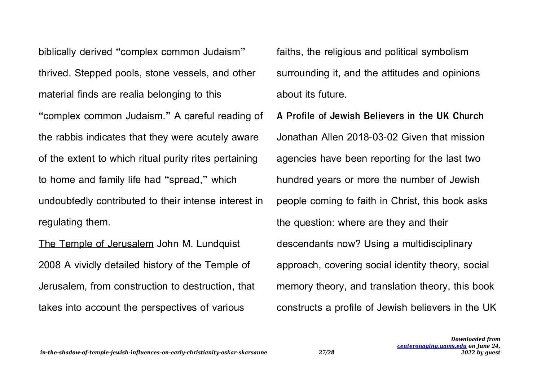biblically derived "complex common Judaism" thrived. Stepped pools, stone vessels, and other material finds are realia belonging to this "complex common Judaism." A careful reading of the rabbis indicates that they were acutely aware of the extent to which ritual purity rites pertaining to home and family life had "spread," which undoubtedly contributed to their intense interest in regulating them.

The Temple of Jerusalem John M. Lundquist 2008 A vividly detailed history of the Temple of Jerusalem, from construction to destruction, that takes into account the perspectives of various

faiths, the religious and political symbolism surrounding it, and the attitudes and opinions about its future.

**A Profile of Jewish Believers in the UK Church** Jonathan Allen 2018-03-02 Given that mission agencies have been reporting for the last two hundred years or more the number of Jewish people coming to faith in Christ, this book asks the question: where are they and their descendants now? Using a multidisciplinary approach, covering social identity theory, social memory theory, and translation theory, this book constructs a profile of Jewish believers in the UK